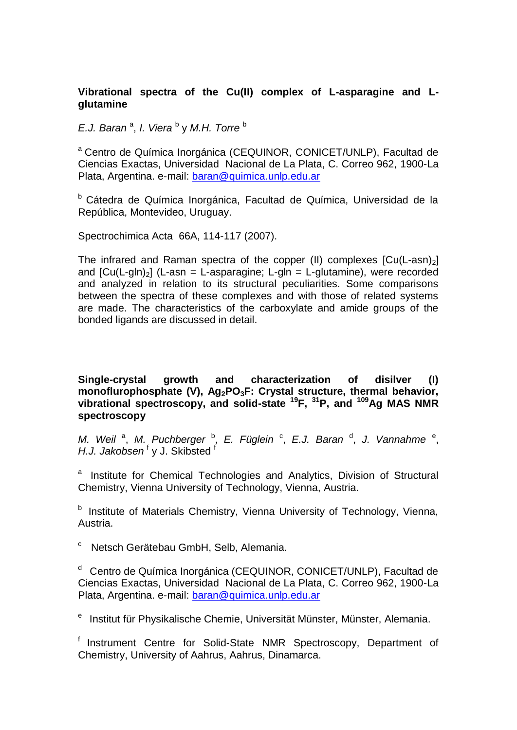# **Vibrational spectra of the Cu(II) complex of L-asparagine and Lglutamine**

E.J. Baran<sup>a</sup>, I. Viera<sup>b</sup> y M.H. Torre<sup>b</sup>

<sup>a</sup> Centro de Química Inorgánica (CEQUINOR, CONICET/UNLP), Facultad de Ciencias Exactas, Universidad Nacional de La Plata, C. Correo 962, 1900-La Plata, Argentina. e-mail: [baran@quimica.unlp.edu.ar](mailto:baran@quimica.unlp.edu.ar)

<sup>b</sup> Cátedra de Química Inorgánica, Facultad de Química, Universidad de la República, Montevideo, Uruguay.

Spectrochimica Acta 66A, 114-117 (2007).

The infrared and Raman spectra of the copper (II) complexes  $[Cu(L-asn)<sub>2</sub>]$ and  $[Cu(L-qIn)]$  (L-asn = L-asparagine; L-gln = L-glutamine), were recorded and analyzed in relation to its structural peculiarities. Some comparisons between the spectra of these complexes and with those of related systems are made. The characteristics of the carboxylate and amide groups of the bonded ligands are discussed in detail.

**Single-crystal growth and characterization of disilver (I) monoflurophosphate (V), Ag2PO3F: Crystal structure, thermal behavior, vibrational spectroscopy, and solid-state <sup>19</sup>F, <sup>31</sup>P, and <sup>109</sup>Ag MAS NMR spectroscopy**

*M. Weil*<sup>a</sup>, *M. Puchberger*<sup>b</sup>, *E. Füglein*<sup>c</sup>, *E.J. Baran*<sup>d</sup>, *J. Vannahme*<sup>e</sup>, H.J. Jakobsen<sup>f</sup> y J. Skibsted<sup>f</sup>

<sup>a</sup> Institute for Chemical Technologies and Analytics, Division of Structural Chemistry, Vienna University of Technology, Vienna, Austria.

<sup>b</sup> Institute of Materials Chemistry, Vienna University of Technology, Vienna, Austria.

<sup>c</sup> Netsch Gerätebau GmbH, Selb, Alemania.

<sup>d</sup> Centro de Química Inorgánica (CEQUINOR, CONICET/UNLP), Facultad de Ciencias Exactas, Universidad Nacional de La Plata, C. Correo 962, 1900-La Plata, Argentina. e-mail: [baran@quimica.unlp.edu.ar](mailto:baran@quimica.unlp.edu.ar)

<sup>e</sup> Institut für Physikalische Chemie, Universität Münster, Münster, Alemania.

 $<sup>f</sup>$  Instrument Centre for Solid-State NMR Spectroscopy, Department of</sup> Chemistry, University of Aahrus, Aahrus, Dinamarca.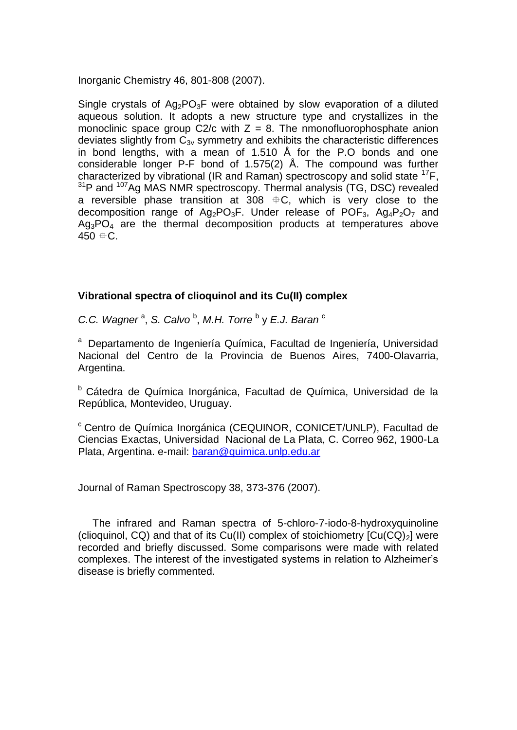Inorganic Chemistry 46, 801-808 (2007).

Single crystals of  $Aq_2PQ_3F$  were obtained by slow evaporation of a diluted aqueous solution. It adopts a new structure type and crystallizes in the monoclinic space group  $C2/c$  with  $Z = 8$ . The nmonofluorophosphate anion deviates slightly from  $C_{3v}$  symmetry and exhibits the characteristic differences in bond lengths, with a mean of 1.510 Å for the P.O bonds and one considerable longer P-F bond of 1.575(2) Å. The compound was further characterized by vibrational (IR and Raman) spectroscopy and solid state  $^{17}F$ , <sup>31</sup>P and <sup>107</sup>Ag MAS NMR spectroscopy. Thermal analysis (TG, DSC) revealed a reversible phase transition at  $308$   $\pm$  C, which is very close to the decomposition range of  $Ag_2PO_3F$ . Under release of POF<sub>3</sub>,  $Ag_4P_2O_7$  and  $Aq_3PO_4$  are the thermal decomposition products at temperatures above  $450 \pm C$ .

### **Vibrational spectra of clioquinol and its Cu(II) complex**

C.C. Wagner<sup>a</sup>, S. Calvo<sup>b</sup>, M.H. Torre<sup>b</sup> y E.J. Baran<sup>c</sup>

<sup>a</sup> Departamento de Ingeniería Química, Facultad de Ingeniería, Universidad Nacional del Centro de la Provincia de Buenos Aires, 7400-Olavarria, Argentina.

<sup>b</sup> Cátedra de Química Inorgánica, Facultad de Química, Universidad de la República, Montevideo, Uruguay.

<sup>c</sup> Centro de Química Inorgánica (CEQUINOR, CONICET/UNLP), Facultad de Ciencias Exactas, Universidad Nacional de La Plata, C. Correo 962, 1900-La Plata, Argentina. e-mail: [baran@quimica.unlp.edu.ar](mailto:baran@quimica.unlp.edu.ar)

Journal of Raman Spectroscopy 38, 373-376 (2007).

 The infrared and Raman spectra of 5-chloro-7-iodo-8-hydroxyquinoline (clioquinol, CQ) and that of its Cu(II) complex of stoichiometry  $[Cu(CQ)<sub>2</sub>]$  were recorded and briefly discussed. Some comparisons were made with related complexes. The interest of the investigated systems in relation to Alzheimer's disease is briefly commented.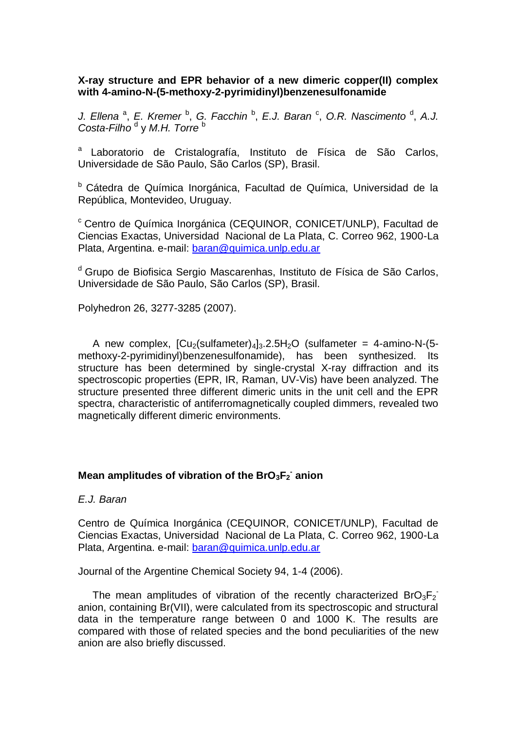## **X-ray structure and EPR behavior of a new dimeric copper(II) complex with 4-amino-N-(5-methoxy-2-pyrimidinyl)benzenesulfonamide**

J. Ellena<sup>a</sup>, E. Kremer<sup>b</sup>, G. Facchin<sup>b</sup>, E.J. Baran<sup>c</sup>, O.R. Nascimento<sup>d</sup>, A.J. Costa-Filho<sup>d</sup> y M.H. Torre<sup>b</sup>

<sup>a</sup> Laboratorio de Cristalografía, Instituto de Física de São Carlos, Universidade de São Paulo, São Carlos (SP), Brasil.

<sup>b</sup> Cátedra de Química Inorgánica, Facultad de Química, Universidad de la República, Montevideo, Uruguay.

<sup>c</sup> Centro de Química Inorgánica (CEQUINOR, CONICET/UNLP), Facultad de Ciencias Exactas, Universidad Nacional de La Plata, C. Correo 962, 1900-La Plata, Argentina. e-mail: [baran@quimica.unlp.edu.ar](mailto:baran@quimica.unlp.edu.ar)

<sup>d</sup> Grupo de Biofisica Sergio Mascarenhas, Instituto de Física de São Carlos, Universidade de São Paulo, São Carlos (SP), Brasil.

Polyhedron 26, 3277-3285 (2007).

A new complex,  $\left[\text{Cu}_{2}\right(\text{sulfameter})_{4}]_{3}.2.5\text{H}_{2}\text{O}$  (sulfameter = 4-amino-N-(5methoxy-2-pyrimidinyl)benzenesulfonamide), has been synthesized. Its structure has been determined by single-crystal X-ray diffraction and its spectroscopic properties (EPR, IR, Raman, UV-Vis) have been analyzed. The structure presented three different dimeric units in the unit cell and the EPR spectra, characteristic of antiferromagnetically coupled dimmers, revealed two magnetically different dimeric environments.

# **Mean amplitudes of vibration of the BrO3F<sup>2</sup> - anion**

*E.J. Baran*

Centro de Química Inorgánica (CEQUINOR, CONICET/UNLP), Facultad de Ciencias Exactas, Universidad Nacional de La Plata, C. Correo 962, 1900-La Plata, Argentina. e-mail: [baran@quimica.unlp.edu.ar](mailto:baran@quimica.unlp.edu.ar) 

Journal of the Argentine Chemical Society 94, 1-4 (2006).

The mean amplitudes of vibration of the recently characterized  $BrO_3F_2$ anion, containing Br(VII), were calculated from its spectroscopic and structural data in the temperature range between 0 and 1000 K. The results are compared with those of related species and the bond peculiarities of the new anion are also briefly discussed.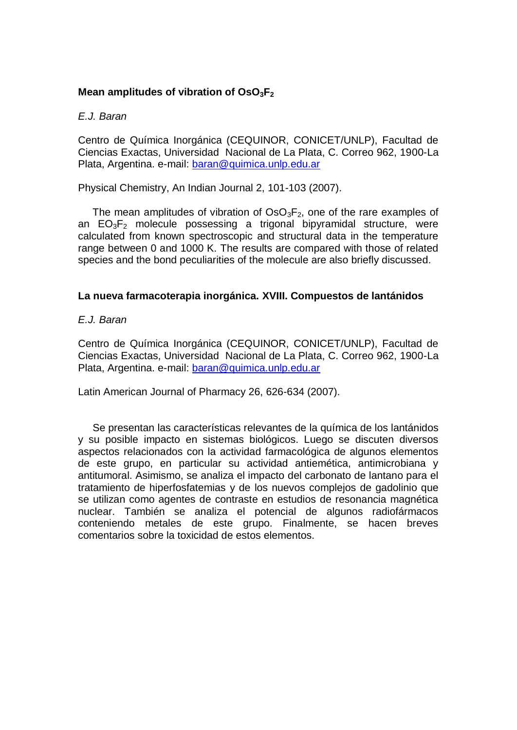# **Mean amplitudes of vibration of OsO3F<sup>2</sup>**

#### *E.J. Baran*

Centro de Química Inorgánica (CEQUINOR, CONICET/UNLP), Facultad de Ciencias Exactas, Universidad Nacional de La Plata, C. Correo 962, 1900-La Plata, Argentina. e-mail: [baran@quimica.unlp.edu.ar](mailto:baran@quimica.unlp.edu.ar) 

Physical Chemistry, An Indian Journal 2, 101-103 (2007).

The mean amplitudes of vibration of  $OSO_3F_2$ , one of the rare examples of an  $EO<sub>3</sub>F<sub>2</sub>$  molecule possessing a trigonal bipyramidal structure, were calculated from known spectroscopic and structural data in the temperature range between 0 and 1000 K. The results are compared with those of related species and the bond peculiarities of the molecule are also briefly discussed.

### **La nueva farmacoterapia inorgánica. XVIII. Compuestos de lantánidos**

### *E.J. Baran*

Centro de Química Inorgánica (CEQUINOR, CONICET/UNLP), Facultad de Ciencias Exactas, Universidad Nacional de La Plata, C. Correo 962, 1900-La Plata, Argentina. e-mail: [baran@quimica.unlp.edu.ar](mailto:baran@quimica.unlp.edu.ar) 

Latin American Journal of Pharmacy 26, 626-634 (2007).

 Se presentan las características relevantes de la química de los lantánidos y su posible impacto en sistemas biológicos. Luego se discuten diversos aspectos relacionados con la actividad farmacológica de algunos elementos de este grupo, en particular su actividad antiemética, antimicrobiana y antitumoral. Asimismo, se analiza el impacto del carbonato de lantano para el tratamiento de hiperfosfatemias y de los nuevos complejos de gadolinio que se utilizan como agentes de contraste en estudios de resonancia magnética nuclear. También se analiza el potencial de algunos radiofármacos conteniendo metales de este grupo. Finalmente, se hacen breves comentarios sobre la toxicidad de estos elementos.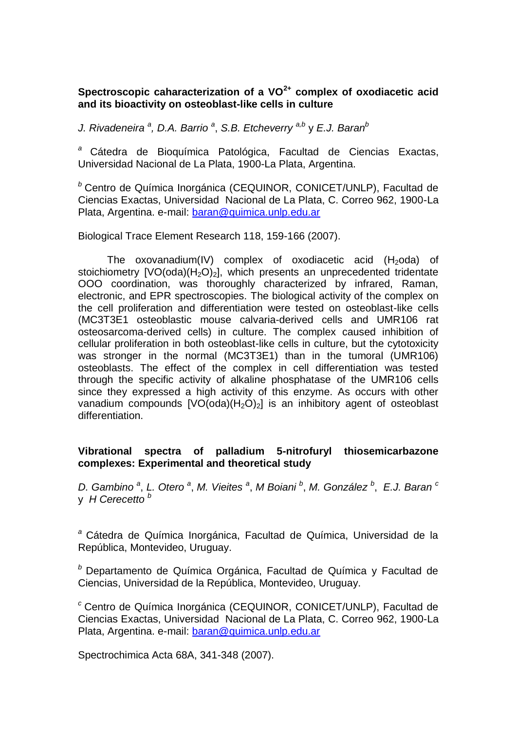# **Spectroscopic caharacterization of a VO2+ complex of oxodiacetic acid and its bioactivity on osteoblast-like cells in culture**

*J. Rivadeneira <sup>a</sup> , D.A. Barrio <sup>a</sup>* , *S.B. Etcheverry a,b* y *E.J. Baran<sup>b</sup>*

*<sup>a</sup>* Cátedra de Bioquímica Patológica, Facultad de Ciencias Exactas, Universidad Nacional de La Plata, 1900-La Plata, Argentina.

*<sup>b</sup>* Centro de Química Inorgánica (CEQUINOR, CONICET/UNLP), Facultad de Ciencias Exactas, Universidad Nacional de La Plata, C. Correo 962, 1900-La Plata, Argentina. e-mail: baran@quimica.unlp.edu.ar

Biological Trace Element Research 118, 159-166 (2007).

The oxovanadium(IV) complex of oxodiacetic acid  $(H_2$ oda) of stoichiometry  $[VO(oda)(H<sub>2</sub>O)<sub>2</sub>]$ , which presents an unprecedented tridentate OOO coordination, was thoroughly characterized by infrared, Raman, electronic, and EPR spectroscopies. The biological activity of the complex on the cell proliferation and differentiation were tested on osteoblast-like cells (MC3T3E1 osteoblastic mouse calvaria-derived cells and UMR106 rat osteosarcoma-derived cells) in culture. The complex caused inhibition of cellular proliferation in both osteoblast-like cells in culture, but the cytotoxicity was stronger in the normal (MC3T3E1) than in the tumoral (UMR106) osteoblasts. The effect of the complex in cell differentiation was tested through the specific activity of alkaline phosphatase of the UMR106 cells since they expressed a high activity of this enzyme. As occurs with other vanadium compounds  $[VO(oda)(H<sub>2</sub>O)<sub>2</sub>]$  is an inhibitory agent of osteoblast differentiation.

## **Vibrational spectra of palladium 5-nitrofuryl thiosemicarbazone complexes: Experimental and theoretical study**

*D. Gambino <sup>a</sup>* , *L. Otero <sup>a</sup>* , *M. Vieites <sup>a</sup>* , *M Boiani <sup>b</sup>* , *M. González <sup>b</sup>* , *E.J. Baran <sup>c</sup>* y *H Cerecetto <sup>b</sup>*

*<sup>a</sup>* Cátedra de Química Inorgánica, Facultad de Química, Universidad de la República, Montevideo, Uruguay.

*<sup>b</sup>* Departamento de Química Orgánica, Facultad de Química y Facultad de Ciencias, Universidad de la República, Montevideo, Uruguay.

*<sup>c</sup>* Centro de Química Inorgánica (CEQUINOR, CONICET/UNLP), Facultad de Ciencias Exactas, Universidad Nacional de La Plata, C. Correo 962, 1900-La Plata, Argentina. e-mail: [baran@quimica.unlp.edu.ar](mailto:baran@quimica.unlp.edu.ar)

Spectrochimica Acta 68A, 341-348 (2007).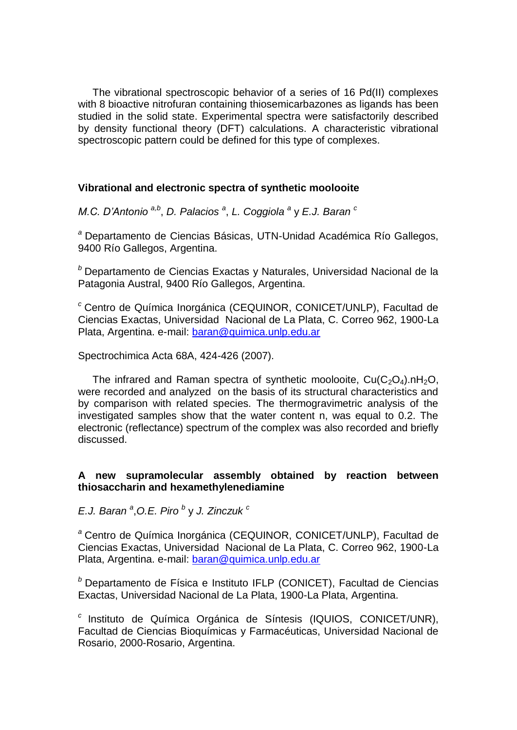The vibrational spectroscopic behavior of a series of 16 Pd(II) complexes with 8 bioactive nitrofuran containing thiosemicarbazones as ligands has been studied in the solid state. Experimental spectra were satisfactorily described by density functional theory (DFT) calculations. A characteristic vibrational spectroscopic pattern could be defined for this type of complexes.

## **Vibrational and electronic spectra of synthetic moolooite**

*M.C. D'Antonio a,b* , *D. Palacios <sup>a</sup>* , *L. Coggiola <sup>a</sup>* y *E.J. Baran <sup>c</sup>*

*<sup>a</sup>* Departamento de Ciencias Básicas, UTN-Unidad Académica Río Gallegos, 9400 Río Gallegos, Argentina.

*<sup>b</sup>* Departamento de Ciencias Exactas y Naturales, Universidad Nacional de la Patagonia Austral, 9400 Río Gallegos, Argentina.

*<sup>c</sup>* Centro de Química Inorgánica (CEQUINOR, CONICET/UNLP), Facultad de Ciencias Exactas, Universidad Nacional de La Plata, C. Correo 962, 1900-La Plata, Argentina. e-mail: [baran@quimica.unlp.edu.ar](mailto:baran@quimica.unlp.edu.ar)

Spectrochimica Acta 68A, 424-426 (2007).

The infrared and Raman spectra of synthetic moolooite,  $Cu(C<sub>2</sub>O<sub>4</sub>)$ .nH<sub>2</sub>O, were recorded and analyzed on the basis of its structural characteristics and by comparison with related species. The thermogravimetric analysis of the investigated samples show that the water content n, was equal to 0.2. The electronic (reflectance) spectrum of the complex was also recorded and briefly discussed.

## **A new supramolecular assembly obtained by reaction between thiosaccharin and hexamethylenediamine**

*E.J. Baran <sup>a</sup>* ,*O.E. Piro <sup>b</sup>* y *J. Zinczuk <sup>c</sup>*

*<sup>a</sup>* Centro de Química Inorgánica (CEQUINOR, CONICET/UNLP), Facultad de Ciencias Exactas, Universidad Nacional de La Plata, C. Correo 962, 1900-La Plata, Argentina. e-mail: [baran@quimica.unlp.edu.ar](mailto:baran@quimica.unlp.edu.ar)

*<sup>b</sup>* Departamento de Física e Instituto IFLP (CONICET), Facultad de Ciencias Exactas, Universidad Nacional de La Plata, 1900-La Plata, Argentina.

*c* Instituto de Química Orgánica de Síntesis (IQUIOS, CONICET/UNR), Facultad de Ciencias Bioquímicas y Farmacéuticas, Universidad Nacional de Rosario, 2000-Rosario, Argentina.